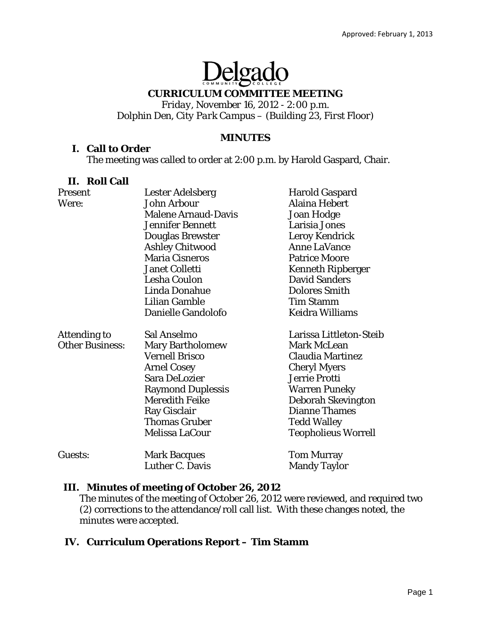# Delgado

#### **CURRICULUM COMMITTEE MEETING**

*Friday, November 16, 2012 - 2:00 p.m. Dolphin Den, City Park Campus – (Building 23, First Floor)* 

#### **MINUTES**

#### **I. Call to Order**

The meeting was called to order at 2:00 p.m. by Harold Gaspard, Chair.

#### **II. Roll Call**

| Present                | Lester Adelsberg           | <b>Harold Gaspard</b>      |
|------------------------|----------------------------|----------------------------|
| Were:                  | John Arbour                | Alaina Hebert              |
|                        | <b>Malene Arnaud-Davis</b> | <b>Joan Hodge</b>          |
|                        | <b>Jennifer Bennett</b>    | Larisia Jones              |
|                        | Douglas Brewster           | <b>Leroy Kendrick</b>      |
|                        | <b>Ashley Chitwood</b>     | <b>Anne LaVance</b>        |
|                        | <b>Maria Cisneros</b>      | <b>Patrice Moore</b>       |
|                        | <b>Janet Colletti</b>      | <b>Kenneth Ripberger</b>   |
|                        | <b>Lesha Coulon</b>        | <b>David Sanders</b>       |
|                        | Linda Donahue              | <b>Dolores Smith</b>       |
|                        | Lilian Gamble              | <b>Tim Stamm</b>           |
|                        | Danielle Gandolofo         | <b>Keidra Williams</b>     |
| <b>Attending to</b>    | Sal Anselmo                | Larissa Littleton-Steib    |
| <b>Other Business:</b> | <b>Mary Bartholomew</b>    | <b>Mark McLean</b>         |
|                        | <b>Vernell Brisco</b>      | <b>Claudia Martinez</b>    |
|                        | <b>Arnel Cosey</b>         | <b>Cheryl Myers</b>        |
|                        | Sara DeLozier              | Jerrie Protti              |
|                        | <b>Raymond Duplessis</b>   | <b>Warren Puneky</b>       |
|                        | <b>Meredith Feike</b>      | Deborah Skevington         |
|                        | <b>Ray Gisclair</b>        | <b>Dianne Thames</b>       |
|                        | <b>Thomas Gruber</b>       | <b>Tedd Walley</b>         |
|                        | Melissa LaCour             | <b>Teopholieus Worrell</b> |
| Guests:                | <b>Mark Bacques</b>        | <b>Tom Murray</b>          |
|                        | Luther C. Davis            | <b>Mandy Taylor</b>        |

#### **III. Minutes of meeting of October 26, 2012**

The minutes of the meeting of October 26, 2012 were reviewed, and required two (2) corrections to the attendance/roll call list. With these changes noted, the minutes were accepted.

## **IV. Curriculum Operations Report – Tim Stamm**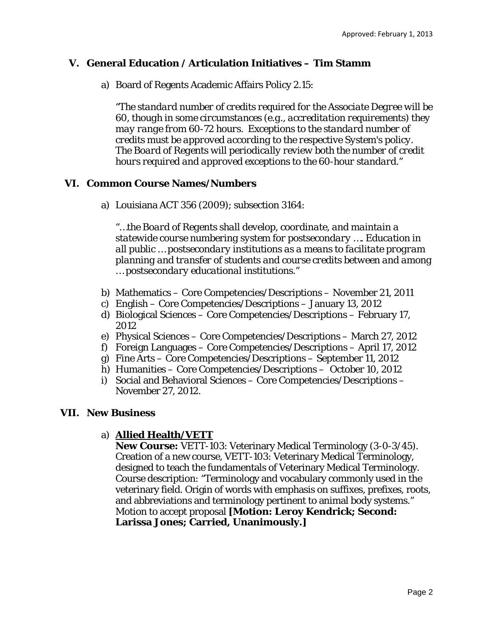### **V. General Education / Articulation Initiatives – Tim Stamm**

a) Board of Regents Academic Affairs Policy 2.15:

*"The standard number of credits required for the Associate Degree will be 60, though in some circumstances (e.g., accreditation requirements) they may range from 60-72 hours. Exceptions to the standard number of credits must be approved according to the respective System's policy. The Board of Regents will periodically review both the number of credit hours required and approved exceptions to the 60-hour standard."*

#### **VI. Common Course Names/Numbers**

a) Louisiana ACT 356 (2009); subsection 3164:

*"…the Board of Regents shall develop, coordinate, and maintain a statewide course numbering system for postsecondary …. Education in all public … postsecondary institutions as a means to facilitate program planning and transfer of students and course credits between and among … postsecondary educational institutions."* 

- b) Mathematics Core Competencies/Descriptions November 21, 2011
- c) English Core Competencies/Descriptions January 13, 2012
- d) Biological Sciences Core Competencies/Descriptions February 17, 2012
- e) Physical Sciences Core Competencies/Descriptions March 27, 2012
- f) Foreign Languages Core Competencies/Descriptions April 17, 2012
- g) Fine Arts Core Competencies/Descriptions September 11, 2012
- h) Humanities Core Competencies/Descriptions October 10, 2012
- i) Social and Behavioral Sciences Core Competencies/Descriptions November 27, 2012.

#### **VII. New Business**

#### a) **Allied Health/VETT**

**New Course:** VETT-103: Veterinary Medical Terminology (3-0-3/45). Creation of a new course, VETT-103: Veterinary Medical Terminology, designed to teach the fundamentals of Veterinary Medical Terminology. Course description: "Terminology and vocabulary commonly used in the veterinary field. Origin of words with emphasis on suffixes, prefixes, roots, and abbreviations and terminology pertinent to animal body systems." Motion to accept proposal **[Motion: Leroy Kendrick; Second: Larissa Jones; Carried, Unanimously.]**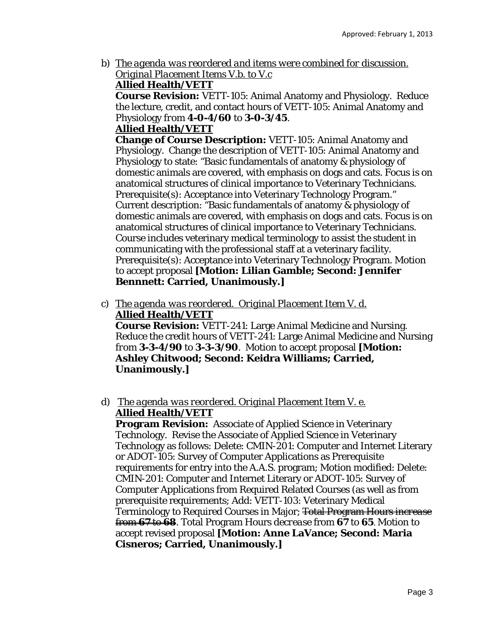b) *The agenda was reordered and items were combined for discussion. Original Placement Items V.b. to V.c* 

**Allied Health/VETT** 

**Course Revision:** VETT-105: Animal Anatomy and Physiology. Reduce the lecture, credit, and contact hours of VETT-105: Animal Anatomy and Physiology *from* **4-0-4/60** *to* **3-0-3/45**.

#### **Allied Health/VETT**

**Change of Course Description:** VETT-105: Animal Anatomy and Physiology. Change the description of VETT-105: Animal Anatomy and Physiology to state: "Basic fundamentals of anatomy & physiology of domestic animals are covered, with emphasis on dogs and cats. Focus is on anatomical structures of clinical importance to Veterinary Technicians. Prerequisite(s): Acceptance into Veterinary Technology Program." Current description: "Basic fundamentals of anatomy & physiology of domestic animals are covered, with emphasis on dogs and cats. Focus is on anatomical structures of clinical importance to Veterinary Technicians. Course includes veterinary medical terminology to assist the student in communicating with the professional staff at a veterinary facility. Prerequisite(s): Acceptance into Veterinary Technology Program. Motion to accept proposal **[Motion: Lilian Gamble; Second: Jennifer Bennnett: Carried, Unanimously.]** 

c) *The agenda was reordered. Original Placement Item V. d.*  **Allied Health/VETT** 

**Course Revision:** VETT-241: Large Animal Medicine and Nursing. Reduce the credit hours of VETT-241: Large Animal Medicine and Nursing *from* **3-3-4/90** *to* **3-3-3/90**. Motion to accept proposal **[Motion: Ashley Chitwood; Second: Keidra Williams; Carried, Unanimously.]** 

# d) *The agenda was reordered. Original Placement Item V. e.*  **Allied Health/VETT**

**Program Revision:** Associate of Applied Science in Veterinary Technology. Revise the Associate of Applied Science in Veterinary Technology as follows: Delete: CMIN-201: Computer and Internet Literary or ADOT-105: Survey of Computer Applications as Prerequisite requirements for entry into the A.A.S. program; Motion modified: Delete: CMIN-201: Computer and Internet Literary or ADOT-105: Survey of Computer Applications from Required Related Courses (as well as from prerequisite requirements; Add: VETT-103: Veterinary Medical Terminology to Required Courses in Major; Total Program Hours *increase* from **67** to **68**. Total Program Hours *decrease* from **67** to **65**. Motion to accept revised proposal **[Motion: Anne LaVance; Second: Maria Cisneros; Carried, Unanimously.]**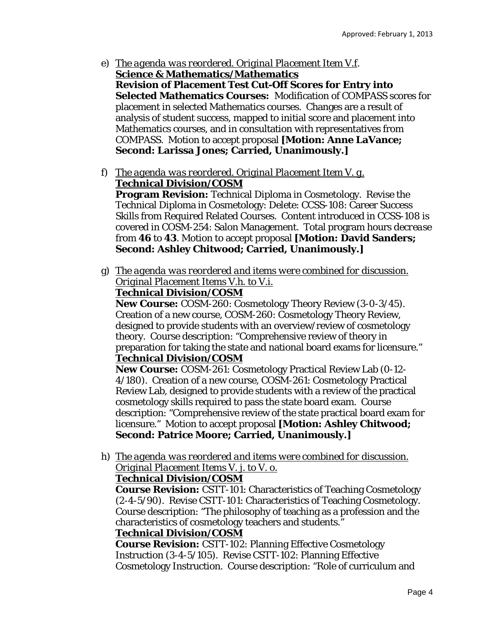- e) *The agenda was reordered. Original Placement Item V.f*. **Science & Mathematics/Mathematics Revision of Placement Test Cut-Off Scores for Entry into Selected Mathematics Courses:** Modification of COMPASS scores for placement in selected Mathematics courses. Changes are a result of analysis of student success, mapped to initial score and placement into Mathematics courses, and in consultation with representatives from COMPASS. Motion to accept proposal **[Motion: Anne LaVance; Second: Larissa Jones; Carried, Unanimously.]**
- f) *The agenda was reordered. Original Placement Item V. g.*  **Technical Division/COSM**

**Program Revision:** Technical Diploma in Cosmetology. Revise the Technical Diploma in Cosmetology: Delete: CCSS-108: Career Success Skills from Required Related Courses. Content introduced in CCSS-108 is covered in COSM-254: Salon Management. Total program hours *decrease* from **46** to **43**. Motion to accept proposal **[Motion: David Sanders; Second: Ashley Chitwood; Carried, Unanimously.]** 

g) *The agenda was reordered and items were combined for discussion. Original Placement Items V.h. to V.i.* 

# **Technical Division/COSM**

**New Course:** COSM-260: Cosmetology Theory Review (3-0-3/45). Creation of a new course, COSM-260: Cosmetology Theory Review, designed to provide students with an overview/review of cosmetology theory. Course description: "Comprehensive review of theory in preparation for taking the state and national board exams for licensure." **Technical Division/COSM** 

**New Course:** COSM-261: Cosmetology Practical Review Lab (0-12- 4/180). Creation of a new course, COSM-261: Cosmetology Practical Review Lab, designed to provide students with a review of the practical cosmetology skills required to pass the state board exam. Course description: "Comprehensive review of the state practical board exam for licensure." Motion to accept proposal **[Motion: Ashley Chitwood; Second: Patrice Moore; Carried, Unanimously.]** 

h) *The agenda was reordered and items were combined for discussion. Original Placement Items V. j. to V. o.* 

# **Technical Division/COSM**

**Course Revision:** CSTT-101: Characteristics of Teaching Cosmetology (2-4-5/90). Revise CSTT-101: Characteristics of Teaching Cosmetology. Course description: "The philosophy of teaching as a profession and the characteristics of cosmetology teachers and students."

## **Technical Division/COSM**

**Course Revision:** CSTT-102: Planning Effective Cosmetology Instruction (3-4-5/105). Revise CSTT-102: Planning Effective Cosmetology Instruction. Course description: "Role of curriculum and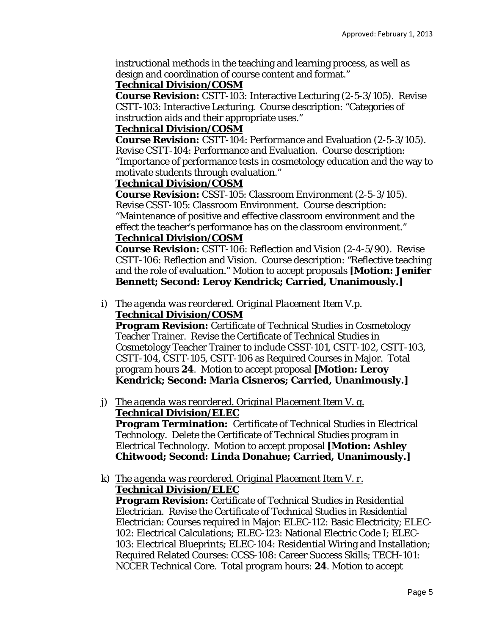instructional methods in the teaching and learning process, as well as design and coordination of course content and format."

## **Technical Division/COSM**

**Course Revision:** CSTT-103: Interactive Lecturing (2-5-3/105). Revise CSTT-103: Interactive Lecturing. Course description: "Categories of instruction aids and their appropriate uses."

## **Technical Division/COSM**

**Course Revision:** CSTT-104: Performance and Evaluation (2-5-3/105). Revise CSTT-104: Performance and Evaluation. Course description: "Importance of performance tests in cosmetology education and the way to motivate students through evaluation."

## **Technical Division/COSM**

**Course Revision:** CSST-105: Classroom Environment (2-5-3/105). Revise CSST-105: Classroom Environment. Course description: "Maintenance of positive and effective classroom environment and the effect the teacher's performance has on the classroom environment." **Technical Division/COSM** 

## **Course Revision:** CSTT-106: Reflection and Vision (2-4-5/90). Revise CSTT-106: Reflection and Vision. Course description: "Reflective teaching and the role of evaluation." Motion to accept proposals **[Motion: Jenifer Bennett; Second: Leroy Kendrick; Carried, Unanimously.]**

#### i) *The agenda was reordered. Original Placement Item V.p.*  **Technical Division/COSM**

**Program Revision:** Certificate of Technical Studies in Cosmetology Teacher Trainer. Revise the Certificate of Technical Studies in Cosmetology Teacher Trainer to include CSST-101, CSTT-102, CSTT-103, CSTT-104, CSTT-105, CSTT-106 as Required Courses in Major. Total program hours **24**. Motion to accept proposal **[Motion: Leroy Kendrick; Second: Maria Cisneros; Carried, Unanimously.]** 

## j) *The agenda was reordered. Original Placement Item V. q.*  **Technical Division/ELEC**

**Program Termination:** Certificate of Technical Studies in Electrical Technology. Delete the Certificate of Technical Studies program in Electrical Technology. Motion to accept proposal **[Motion: Ashley Chitwood; Second: Linda Donahue; Carried, Unanimously.]** 

#### k) *The agenda was reordered. Original Placement Item V. r.*  **Technical Division/ELEC**

**Program Revision:** Certificate of Technical Studies in Residential Electrician. Revise the Certificate of Technical Studies in Residential Electrician: Courses required in Major: ELEC-112: Basic Electricity; ELEC-102: Electrical Calculations; ELEC-123: National Electric Code I; ELEC-103: Electrical Blueprints; ELEC-104: Residential Wiring and Installation; Required Related Courses: CCSS-108: Career Success Skills; TECH-101: NCCER Technical Core. Total program hours: **24**. Motion to accept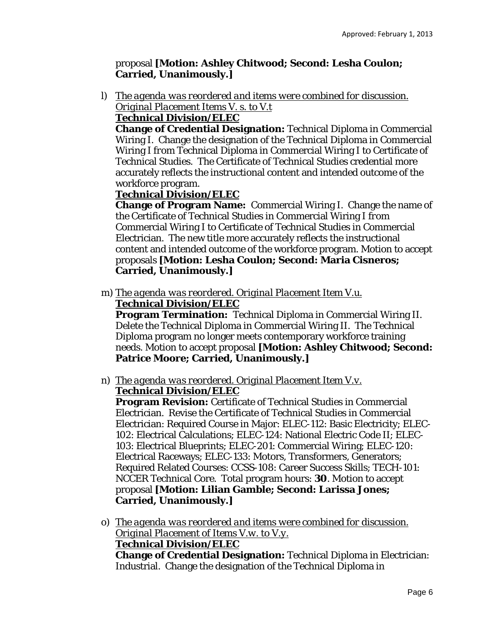## proposal **[Motion: Ashley Chitwood; Second: Lesha Coulon; Carried, Unanimously.]**

l) *The agenda was reordered and items were combined for discussion. Original Placement Items V. s. to V.t* 

# **Technical Division/ELEC**

**Change of Credential Designation:** Technical Diploma in Commercial Wiring I. Change the designation of the Technical Diploma in Commercial Wiring I *from* Technical Diploma in Commercial Wiring I *to* Certificate of Technical Studies. The Certificate of Technical Studies credential more accurately reflects the instructional content and intended outcome of the workforce program.

# **Technical Division/ELEC**

**Change of Program Name:** Commercial Wiring I. Change the name of the Certificate of Technical Studies in Commercial Wiring I *from*  Commercial Wiring I *to* Certificate of Technical Studies in Commercial Electrician. The new title more accurately reflects the instructional content and intended outcome of the workforce program. Motion to accept proposals **[Motion: Lesha Coulon; Second: Maria Cisneros; Carried, Unanimously.]** 

m) *The agenda was reordered. Original Placement Item V.u.*  **Technical Division/ELEC** 

**Program Termination:** Technical Diploma in Commercial Wiring II. Delete the Technical Diploma in Commercial Wiring II. The Technical Diploma program no longer meets contemporary workforce training needs. Motion to accept proposal **[Motion: Ashley Chitwood; Second: Patrice Moore; Carried, Unanimously.]** 

n) *The agenda was reordered. Original Placement Item V.v.* 

# **Technical Division/ELEC**

**Program Revision:** Certificate of Technical Studies in Commercial Electrician. Revise the Certificate of Technical Studies in Commercial Electrician: Required Course in Major: ELEC-112: Basic Electricity; ELEC-102: Electrical Calculations; ELEC-124: National Electric Code II; ELEC-103: Electrical Blueprints; ELEC-201: Commercial Wiring; ELEC-120: Electrical Raceways; ELEC-133: Motors, Transformers, Generators; Required Related Courses: CCSS-108: Career Success Skills; TECH-101: NCCER Technical Core. Total program hours: **30**. Motion to accept proposal **[Motion: Lilian Gamble; Second: Larissa Jones; Carried, Unanimously.]** 

o) *The agenda was reordered and items were combined for discussion. Original Placement of Items V.w. to V.y.* 

## **Technical Division/ELEC**

**Change of Credential Designation:** Technical Diploma in Electrician: Industrial. Change the designation of the Technical Diploma in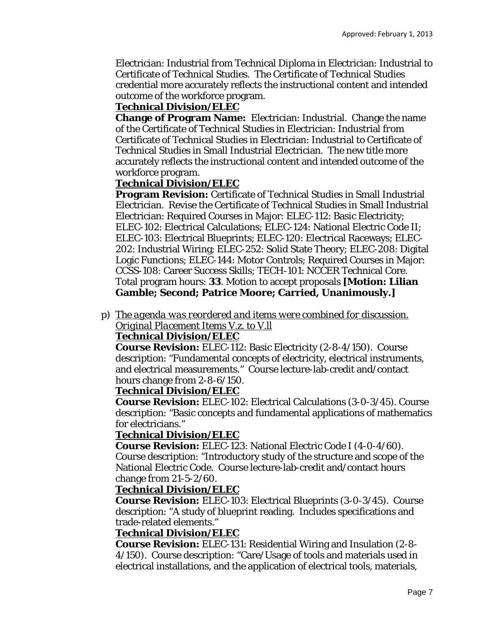Electrician: Industrial *from* Technical Diploma in Electrician: Industrial *to*  Certificate of Technical Studies. The Certificate of Technical Studies credential more accurately reflects the instructional content and intended outcome of the workforce program.

## **Technical Division/ELEC**

**Change of Program Name:** Electrician: Industrial. Change the name of the Certificate of Technical Studies in Electrician: Industrial *from* Certificate of Technical Studies in Electrician: Industrial *to* Certificate of Technical Studies in Small Industrial Electrician. The new title more accurately reflects the instructional content and intended outcome of the workforce program.

# **Technical Division/ELEC**

**Program Revision:** Certificate of Technical Studies in Small Industrial Electrician. Revise the Certificate of Technical Studies in Small Industrial Electrician: Required Courses in Major: ELEC-112: Basic Electricity; ELEC-102: Electrical Calculations; ELEC-124: National Electric Code II; ELEC-103: Electrical Blueprints; ELEC-120: Electrical Raceways; ELEC-202: Industrial Wiring; ELEC-252: Solid State Theory; ELEC-208: Digital Logic Functions; ELEC-144: Motor Controls; Required Courses in Major: CCSS-108: Career Success Skills; TECH-101: NCCER Technical Core. Total program hours: **33**. Motion to accept proposals **[Motion: Lilian Gamble; Second; Patrice Moore; Carried, Unanimously.]** 

p) *The agenda was reordered and items were combined for discussion. Original Placement Items V.z. to V.ll* 

## **Technical Division/ELEC**

**Course Revision:** ELEC-112: Basic Electricity (2-8-4/150). Course description: "Fundamental concepts of electricity, electrical instruments, and electrical measurements." Course lecture-lab-credit and/contact hours change *from* 2-8-6/150.

## **Technical Division/ELEC**

**Course Revision:** ELEC-102: Electrical Calculations (3-0-3/45). Course description: "Basic concepts and fundamental applications of mathematics for electricians."

## **Technical Division/ELEC**

**Course Revision:** ELEC-123: National Electric Code I (4-0-4/60). Course description: "Introductory study of the structure and scope of the National Electric Code. Course lecture-lab-credit and/contact hours change *from* 21-5-2/60.

## **Technical Division/ELEC**

**Course Revision:** ELEC-103: Electrical Blueprints (3-0-3/45). Course description: "A study of blueprint reading. Includes specifications and trade-related elements."

## **Technical Division/ELEC**

**Course Revision:** ELEC-131: Residential Wiring and Insulation (2-8- 4/150). Course description: "Care/Usage of tools and materials used in electrical installations, and the application of electrical tools, materials,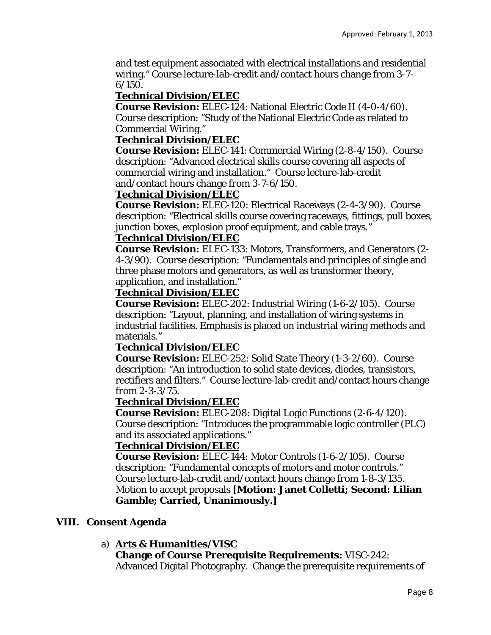and test equipment associated with electrical installations and residential wiring." Course lecture-lab-credit and/contact hours change *from* 3-7-  $6/150$ .

## **Technical Division/ELEC**

**Course Revision:** ELEC-124: National Electric Code II (4-0-4/60). Course description: "Study of the National Electric Code as related to Commercial Wiring."

## **Technical Division/ELEC**

**Course Revision:** ELEC-141: Commercial Wiring (2-8-4/150). Course description: "Advanced electrical skills course covering all aspects of commercial wiring and installation." Course lecture-lab-credit and/contact hours change *from* 3-7-6/150.

## **Technical Division/ELEC**

**Course Revision:** ELEC-120: Electrical Raceways (2-4-3/90). Course description: "Electrical skills course covering raceways, fittings, pull boxes, junction boxes, explosion proof equipment, and cable trays."

## **Technical Division/ELEC**

**Course Revision:** ELEC-133: Motors, Transformers, and Generators (2- 4-3/90). Course description: "Fundamentals and principles of single and three phase motors and generators, as well as transformer theory, application, and installation."

## **Technical Division/ELEC**

**Course Revision:** ELEC-202: Industrial Wiring (1-6-2/105). Course description: "Layout, planning, and installation of wiring systems in industrial facilities. Emphasis is placed on industrial wiring methods and materials."

## **Technical Division/ELEC**

**Course Revision:** ELEC-252: Solid State Theory (1-3-2/60). Course description: "An introduction to solid state devices, diodes, transistors, rectifiers and filters." Course lecture-lab-credit and/contact hours change *from* 2-3-3/75.

## **Technical Division/ELEC**

**Course Revision:** ELEC-208: Digital Logic Functions (2-6-4/120). Course description: "Introduces the programmable logic controller (PLC) and its associated applications."

## **Technical Division/ELEC**

**Course Revision:** ELEC-144: Motor Controls (1-6-2/105). Course description: "Fundamental concepts of motors and motor controls." Course lecture-lab-credit and/contact hours change *from* 1-8-3/135. Motion to accept proposals **[Motion: Janet Colletti; Second: Lilian Gamble; Carried, Unanimously.]** 

## **VIII. Consent Agenda**

# a) **Arts & Humanities/VISC**

#### **Change of Course Prerequisite Requirements:** VISC-242: Advanced Digital Photography. Change the prerequisite requirements of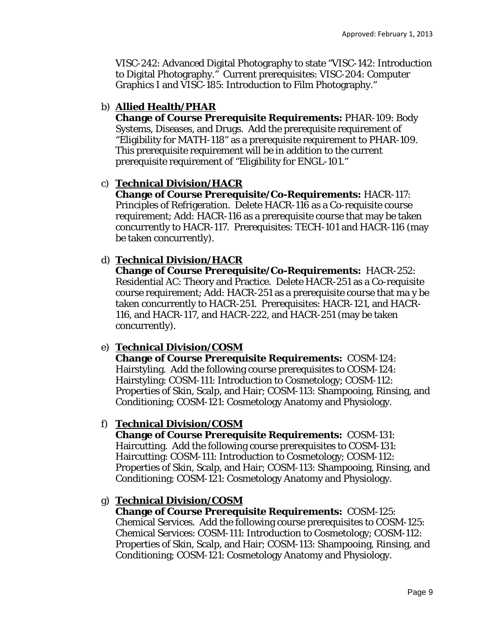VISC-242: Advanced Digital Photography to state "VISC-142: Introduction to Digital Photography." Current prerequisites: VISC-204: Computer Graphics I and VISC-185: Introduction to Film Photography."

## b) **Allied Health/PHAR**

**Change of Course Prerequisite Requirements:** PHAR-109: Body Systems, Diseases, and Drugs. Add the prerequisite requirement of "Eligibility for MATH-118" as a prerequisite requirement to PHAR-109. This prerequisite requirement will be in addition to the current prerequisite requirement of "Eligibility for ENGL-101."

## c) **Technical Division/HACR**

**Change of Course Prerequisite/Co-Requirements:** HACR-117: Principles of Refrigeration. Delete HACR-116 as a Co-requisite course requirement; Add: HACR-116 as a prerequisite course that may be taken concurrently to HACR-117. Prerequisites: TECH-101 and HACR-116 (may be taken concurrently).

## d) **Technical Division/HACR**

**Change of Course Prerequisite/Co-Requirements:** HACR-252: Residential AC: Theory and Practice. Delete HACR-251 as a Co-requisite course requirement; Add: HACR-251 as a prerequisite course that ma y be taken concurrently to HACR-251. Prerequisites: HACR-121, and HACR-116, and HACR-117, and HACR-222, and HACR-251 (may be taken concurrently).

## e) **Technical Division/COSM**

**Change of Course Prerequisite Requirements:** COSM-124: Hairstyling. Add the following course prerequisites to COSM-124: Hairstyling: COSM-111: Introduction to Cosmetology; COSM-112: Properties of Skin, Scalp, and Hair; COSM-113: Shampooing, Rinsing, and Conditioning; COSM-121: Cosmetology Anatomy and Physiology.

#### f) **Technical Division/COSM**

**Change of Course Prerequisite Requirements:** COSM-131: Haircutting. Add the following course prerequisites to COSM-131: Haircutting: COSM-111: Introduction to Cosmetology; COSM-112: Properties of Skin, Scalp, and Hair; COSM-113: Shampooing, Rinsing, and Conditioning; COSM-121: Cosmetology Anatomy and Physiology.

#### g) **Technical Division/COSM**

**Change of Course Prerequisite Requirements:** COSM-125: Chemical Services. Add the following course prerequisites to COSM-125: Chemical Services: COSM-111: Introduction to Cosmetology; COSM-112: Properties of Skin, Scalp, and Hair; COSM-113: Shampooing, Rinsing, and Conditioning; COSM-121: Cosmetology Anatomy and Physiology.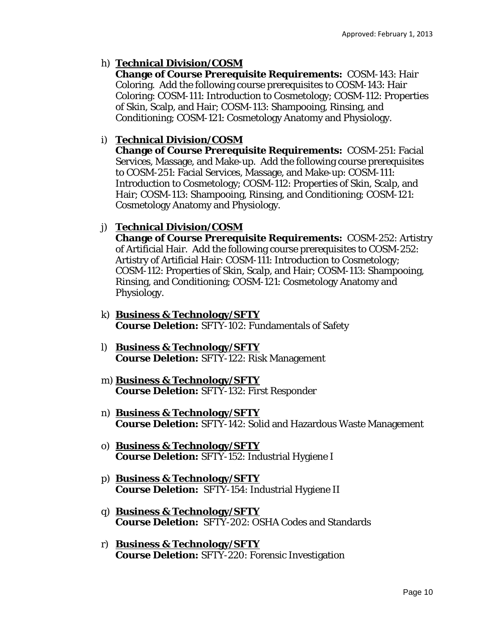# h) **Technical Division/COSM**

**Change of Course Prerequisite Requirements:** COSM-143: Hair Coloring. Add the following course prerequisites to COSM-143: Hair Coloring: COSM-111: Introduction to Cosmetology; COSM-112: Properties of Skin, Scalp, and Hair; COSM-113: Shampooing, Rinsing, and Conditioning; COSM-121: Cosmetology Anatomy and Physiology.

## i) **Technical Division/COSM**

**Change of Course Prerequisite Requirements:** COSM-251: Facial Services, Massage, and Make-up. Add the following course prerequisites to COSM-251: Facial Services, Massage, and Make-up: COSM-111: Introduction to Cosmetology; COSM-112: Properties of Skin, Scalp, and Hair; COSM-113: Shampooing, Rinsing, and Conditioning; COSM-121: Cosmetology Anatomy and Physiology.

## j) **Technical Division/COSM**

**Change of Course Prerequisite Requirements:** COSM-252: Artistry of Artificial Hair. Add the following course prerequisites to COSM-252: Artistry of Artificial Hair: COSM-111: Introduction to Cosmetology; COSM-112: Properties of Skin, Scalp, and Hair; COSM-113: Shampooing, Rinsing, and Conditioning; COSM-121: Cosmetology Anatomy and Physiology.

- k) **Business & Technology/SFTY Course Deletion:** SFTY-102: Fundamentals of Safety
- l) **Business & Technology/SFTY Course Deletion:** SFTY-122: Risk Management
- m) **Business & Technology/SFTY Course Deletion:** SFTY-132: First Responder
- n) **Business & Technology/SFTY Course Deletion:** SFTY-142: Solid and Hazardous Waste Management
- o) **Business & Technology/SFTY Course Deletion:** SFTY-152: Industrial Hygiene I
- p) **Business & Technology/SFTY Course Deletion:** SFTY-154: Industrial Hygiene II
- q) **Business & Technology/SFTY Course Deletion:** SFTY-202: OSHA Codes and Standards
- r) **Business & Technology/SFTY Course Deletion:** SFTY-220: Forensic Investigation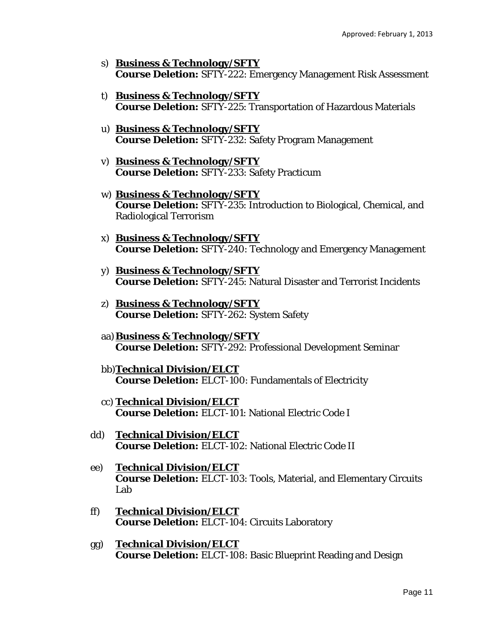- s) **Business & Technology/SFTY Course Deletion:** SFTY-222: Emergency Management Risk Assessment
- t) **Business & Technology/SFTY Course Deletion:** SFTY-225: Transportation of Hazardous Materials
- u) **Business & Technology/SFTY Course Deletion:** SFTY-232: Safety Program Management
- v) **Business & Technology/SFTY Course Deletion:** SFTY-233: Safety Practicum
- w) **Business & Technology/SFTY Course Deletion:** SFTY-235: Introduction to Biological, Chemical, and Radiological Terrorism
- x) **Business & Technology/SFTY Course Deletion:** SFTY-240: Technology and Emergency Management
- y) **Business & Technology/SFTY Course Deletion:** SFTY-245: Natural Disaster and Terrorist Incidents
- z) **Business & Technology/SFTY Course Deletion:** SFTY-262: System Safety
- aa)**Business & Technology/SFTY Course Deletion:** SFTY-292: Professional Development Seminar
- bb)**Technical Division/ELCT Course Deletion:** ELCT-100: Fundamentals of Electricity
- cc) **Technical Division/ELCT Course Deletion:** ELCT-101: National Electric Code I
- dd) **Technical Division/ELCT Course Deletion:** ELCT-102: National Electric Code II
- ee) **Technical Division/ELCT Course Deletion:** ELCT-103: Tools, Material, and Elementary Circuits Lab
- ff) **Technical Division/ELCT Course Deletion:** ELCT-104: Circuits Laboratory
- gg) **Technical Division/ELCT Course Deletion:** ELCT-108: Basic Blueprint Reading and Design